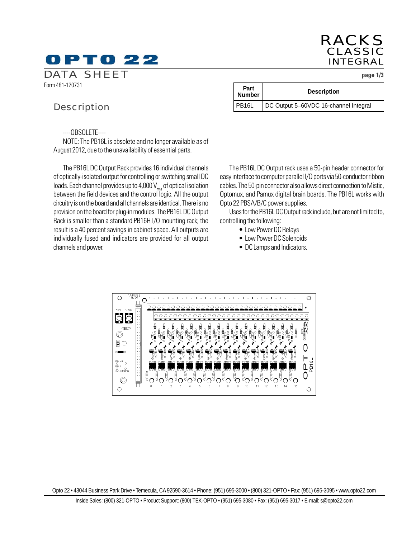# D PTO 22

*RACKS CLASSIC INTEGRAL*

**Description** 

*DATA SHEET* **page 1/3**

Form 481-120731

### *Description*

----OBSOLETE----

NOTE: The PB16L is obsolete and no longer available as of August 2012, due to the unavailability of essential parts.

The PB16L DC Output Rack provides 16 individual channels of optically-isolated output for controlling or switching small DC loads. Each channel provides up to 4,000  $V_{\rm rms}$  of optical isolation between the field devices and the control logic. All the output circuitry is on the board and all channels are identical. There is no provision on the board for plug-in modules. The PB16L DC Output Rack is smaller than a standard PB16H I/O mounting rack; the result is a 40 percent savings in cabinet space. All outputs are individually fused and indicators are provided for all output channels and power.

The PB16L DC Output rack uses a 50-pin header connector for easy interface to computer parallel I/O ports via 50-conductor ribbon cables. The 50-pin connector also allows direct connection to Mistic, Optomux, and Pamux digital brain boards. The PB16L works with Opto 22 PBSA/B/C power supplies.

PB16L | DC Output 5–60VDC 16-channel Integral

Uses for the PB16L DC Output rack include, but are not limited to, controlling the following:

• Low Power DC Relays

**Part**<br>Number

- Low Power DC Solenoids
- DC Lamps and Indicators.



Opto 22 • 43044 Business Park Drive • Temecula, CA 92590-3614 • Phone: (951) 695-3000 • (800) 321-OPTO • Fax: (951) 695-3095 • www.opto22.com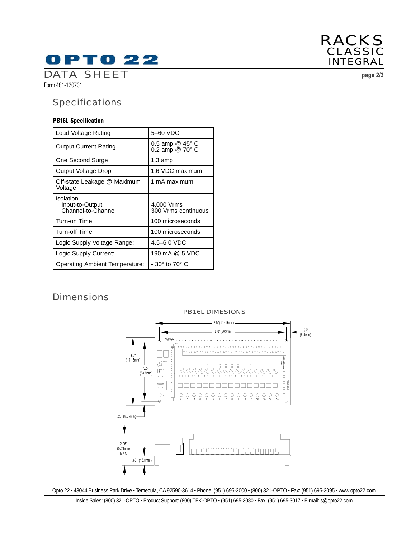

Form 481-120731

### *Specifications*

#### **PB16L Specification**

| Load Voltage Rating                                | 5-60 VDC                           |
|----------------------------------------------------|------------------------------------|
| <b>Output Current Rating</b>                       | 0.5 amp @ 45° C<br>0.2 amp @ 70° C |
| One Second Surge                                   | 1.3 amp                            |
| Output Voltage Drop                                | 1.6 VDC maximum                    |
| Off-state Leakage @ Maximum<br>Voltage             | 1 mA maximum                       |
| Isolation<br>Input-to-Output<br>Channel-to-Channel | 4,000 Vrms<br>300 Vrms continuous  |
| Turn-on Time:                                      | 100 microseconds                   |
| Turn-off Time:                                     | 100 microseconds                   |
| Logic Supply Voltage Range:                        | 4.5–6.0 VDC                        |
| Logic Supply Current:                              | 190 mA @ 5 VDC                     |
| Operating Ambient Temperature:                     | - 30° to 70° C                     |

## *Dimensions*



#### Opto 22 • 43044 Business Park Drive • Temecula, CA 92590-3614 • Phone: (951) 695-3000 • (800) 321-OPTO • Fax: (951) 695-3095 • www.opto22.com

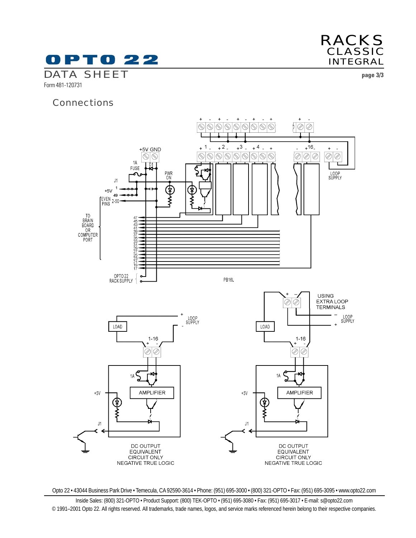

*RACKS CLASSIC INTEGRAL*

Form 481-120731

### *Connections*



Opto 22 • 43044 Business Park Drive • Temecula, CA 92590-3614 • Phone: (951) 695-3000 • (800) 321-OPTO • Fax: (951) 695-3095 • www.opto22.com

Inside Sales: (800) 321-OPTO • Product Support: (800) TEK-OPTO • (951) 695-3080 • Fax: (951) 695-3017 • E-mail: s@opto22.com © 1991–2001 Opto 22. All rights reserved. All trademarks, trade names, logos, and service marks referenced herein belong to their respective companies.